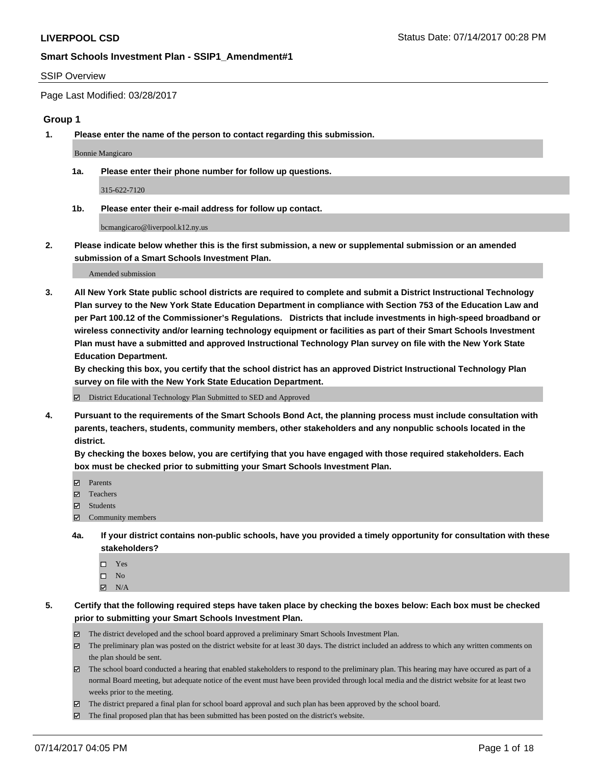#### SSIP Overview

Page Last Modified: 03/28/2017

#### **Group 1**

**1. Please enter the name of the person to contact regarding this submission.**

Bonnie Mangicaro

**1a. Please enter their phone number for follow up questions.**

315-622-7120

**1b. Please enter their e-mail address for follow up contact.**

bcmangicaro@liverpool.k12.ny.us

**2. Please indicate below whether this is the first submission, a new or supplemental submission or an amended submission of a Smart Schools Investment Plan.**

Amended submission

**3. All New York State public school districts are required to complete and submit a District Instructional Technology Plan survey to the New York State Education Department in compliance with Section 753 of the Education Law and per Part 100.12 of the Commissioner's Regulations. Districts that include investments in high-speed broadband or wireless connectivity and/or learning technology equipment or facilities as part of their Smart Schools Investment Plan must have a submitted and approved Instructional Technology Plan survey on file with the New York State Education Department.** 

**By checking this box, you certify that the school district has an approved District Instructional Technology Plan survey on file with the New York State Education Department.**

District Educational Technology Plan Submitted to SED and Approved

**4. Pursuant to the requirements of the Smart Schools Bond Act, the planning process must include consultation with parents, teachers, students, community members, other stakeholders and any nonpublic schools located in the district.** 

**By checking the boxes below, you are certifying that you have engaged with those required stakeholders. Each box must be checked prior to submitting your Smart Schools Investment Plan.**

- **マ** Parents
- □ Teachers
- Students
- $\Xi$  Community members
- **4a. If your district contains non-public schools, have you provided a timely opportunity for consultation with these stakeholders?**
	- Yes
	- $\hfill \square$  No
	- $\boxtimes$  N/A
- **5. Certify that the following required steps have taken place by checking the boxes below: Each box must be checked prior to submitting your Smart Schools Investment Plan.**
	- The district developed and the school board approved a preliminary Smart Schools Investment Plan.
	- $\boxtimes$  The preliminary plan was posted on the district website for at least 30 days. The district included an address to which any written comments on the plan should be sent.
	- $\boxtimes$  The school board conducted a hearing that enabled stakeholders to respond to the preliminary plan. This hearing may have occured as part of a normal Board meeting, but adequate notice of the event must have been provided through local media and the district website for at least two weeks prior to the meeting.
	- The district prepared a final plan for school board approval and such plan has been approved by the school board.
	- $\boxtimes$  The final proposed plan that has been submitted has been posted on the district's website.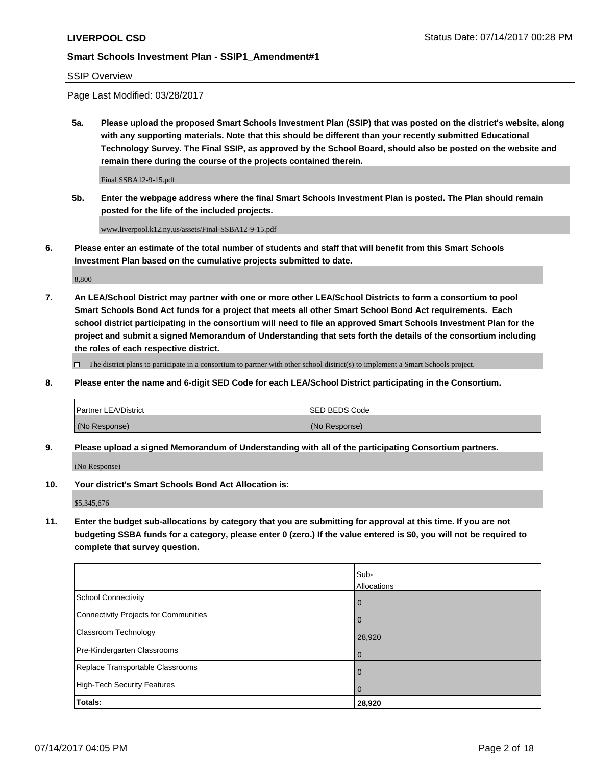#### SSIP Overview

Page Last Modified: 03/28/2017

**5a. Please upload the proposed Smart Schools Investment Plan (SSIP) that was posted on the district's website, along with any supporting materials. Note that this should be different than your recently submitted Educational Technology Survey. The Final SSIP, as approved by the School Board, should also be posted on the website and remain there during the course of the projects contained therein.**

Final SSBA12-9-15.pdf

**5b. Enter the webpage address where the final Smart Schools Investment Plan is posted. The Plan should remain posted for the life of the included projects.**

www.liverpool.k12.ny.us/assets/Final-SSBA12-9-15.pdf

**6. Please enter an estimate of the total number of students and staff that will benefit from this Smart Schools Investment Plan based on the cumulative projects submitted to date.**

8,800

**7. An LEA/School District may partner with one or more other LEA/School Districts to form a consortium to pool Smart Schools Bond Act funds for a project that meets all other Smart School Bond Act requirements. Each school district participating in the consortium will need to file an approved Smart Schools Investment Plan for the project and submit a signed Memorandum of Understanding that sets forth the details of the consortium including the roles of each respective district.**

 $\Box$  The district plans to participate in a consortium to partner with other school district(s) to implement a Smart Schools project.

**8. Please enter the name and 6-digit SED Code for each LEA/School District participating in the Consortium.**

| <b>Partner LEA/District</b> | <b>ISED BEDS Code</b> |
|-----------------------------|-----------------------|
| (No Response)               | (No Response)         |

**9. Please upload a signed Memorandum of Understanding with all of the participating Consortium partners.**

(No Response)

**10. Your district's Smart Schools Bond Act Allocation is:**

\$5,345,676

**11. Enter the budget sub-allocations by category that you are submitting for approval at this time. If you are not budgeting SSBA funds for a category, please enter 0 (zero.) If the value entered is \$0, you will not be required to complete that survey question.**

|                                              | Sub-<br>Allocations |
|----------------------------------------------|---------------------|
|                                              |                     |
| <b>School Connectivity</b>                   | 0                   |
| <b>Connectivity Projects for Communities</b> | 0                   |
| Classroom Technology                         | 28,920              |
| Pre-Kindergarten Classrooms                  | $\mathbf 0$         |
| Replace Transportable Classrooms             | $\Omega$            |
| <b>High-Tech Security Features</b>           | 0                   |
| Totals:                                      | 28,920              |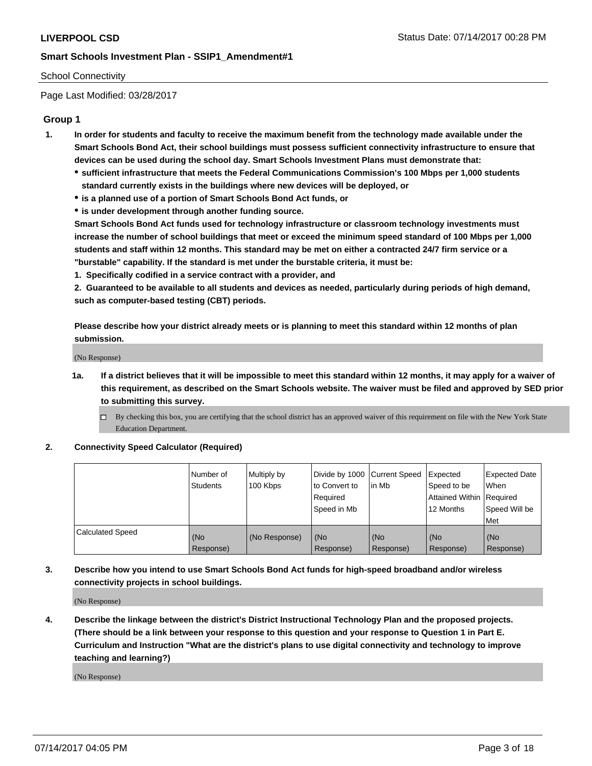#### School Connectivity

Page Last Modified: 03/28/2017

## **Group 1**

- **1. In order for students and faculty to receive the maximum benefit from the technology made available under the Smart Schools Bond Act, their school buildings must possess sufficient connectivity infrastructure to ensure that devices can be used during the school day. Smart Schools Investment Plans must demonstrate that:**
	- **sufficient infrastructure that meets the Federal Communications Commission's 100 Mbps per 1,000 students standard currently exists in the buildings where new devices will be deployed, or**
	- **is a planned use of a portion of Smart Schools Bond Act funds, or**
	- **is under development through another funding source.**

**Smart Schools Bond Act funds used for technology infrastructure or classroom technology investments must increase the number of school buildings that meet or exceed the minimum speed standard of 100 Mbps per 1,000 students and staff within 12 months. This standard may be met on either a contracted 24/7 firm service or a "burstable" capability. If the standard is met under the burstable criteria, it must be:**

**1. Specifically codified in a service contract with a provider, and**

**2. Guaranteed to be available to all students and devices as needed, particularly during periods of high demand, such as computer-based testing (CBT) periods.**

**Please describe how your district already meets or is planning to meet this standard within 12 months of plan submission.**

(No Response)

- **1a. If a district believes that it will be impossible to meet this standard within 12 months, it may apply for a waiver of this requirement, as described on the Smart Schools website. The waiver must be filed and approved by SED prior to submitting this survey.**
	- By checking this box, you are certifying that the school district has an approved waiver of this requirement on file with the New York State Education Department.

#### **2. Connectivity Speed Calculator (Required)**

|                         | Number of<br><b>Students</b> | Multiply by<br>100 Kbps | Divide by 1000 Current Speed<br>to Convert to<br>Required<br>Speed in Mb | l in Mb          | Expected<br>Speed to be<br>Attained Within Required<br>12 Months | Expected Date<br>When<br>Speed Will be<br>Met |
|-------------------------|------------------------------|-------------------------|--------------------------------------------------------------------------|------------------|------------------------------------------------------------------|-----------------------------------------------|
| <b>Calculated Speed</b> | (No<br>Response)             | (No Response)           | (No<br>Response)                                                         | (No<br>Response) | (No<br>Response)                                                 | (No<br>Response)                              |

## **3. Describe how you intend to use Smart Schools Bond Act funds for high-speed broadband and/or wireless connectivity projects in school buildings.**

(No Response)

**4. Describe the linkage between the district's District Instructional Technology Plan and the proposed projects. (There should be a link between your response to this question and your response to Question 1 in Part E. Curriculum and Instruction "What are the district's plans to use digital connectivity and technology to improve teaching and learning?)**

(No Response)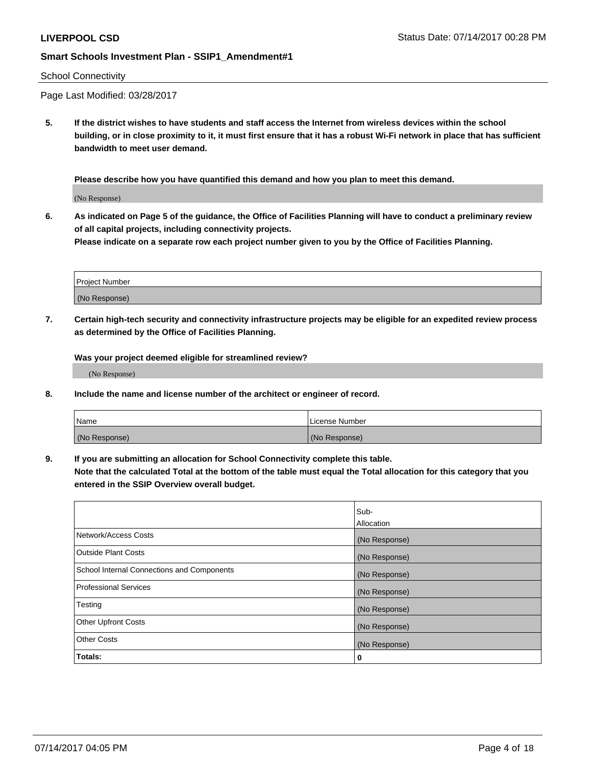#### School Connectivity

Page Last Modified: 03/28/2017

**5. If the district wishes to have students and staff access the Internet from wireless devices within the school building, or in close proximity to it, it must first ensure that it has a robust Wi-Fi network in place that has sufficient bandwidth to meet user demand.**

**Please describe how you have quantified this demand and how you plan to meet this demand.**

(No Response)

**6. As indicated on Page 5 of the guidance, the Office of Facilities Planning will have to conduct a preliminary review of all capital projects, including connectivity projects.**

**Please indicate on a separate row each project number given to you by the Office of Facilities Planning.**

| Project Number |  |
|----------------|--|
|                |  |
| (No Response)  |  |

**7. Certain high-tech security and connectivity infrastructure projects may be eligible for an expedited review process as determined by the Office of Facilities Planning.**

**Was your project deemed eligible for streamlined review?**

(No Response)

**8. Include the name and license number of the architect or engineer of record.**

| Name          | License Number |
|---------------|----------------|
| (No Response) | (No Response)  |

**9. If you are submitting an allocation for School Connectivity complete this table.**

**Note that the calculated Total at the bottom of the table must equal the Total allocation for this category that you entered in the SSIP Overview overall budget.** 

|                                            | Sub-          |
|--------------------------------------------|---------------|
|                                            | Allocation    |
| Network/Access Costs                       | (No Response) |
| Outside Plant Costs                        | (No Response) |
| School Internal Connections and Components | (No Response) |
| <b>Professional Services</b>               | (No Response) |
| Testing                                    | (No Response) |
| <b>Other Upfront Costs</b>                 | (No Response) |
| <b>Other Costs</b>                         | (No Response) |
| Totals:                                    | 0             |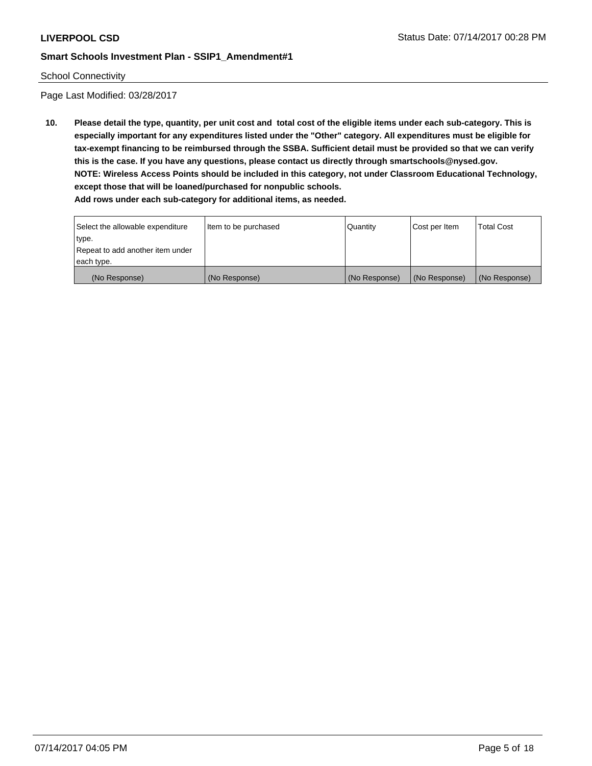### School Connectivity

Page Last Modified: 03/28/2017

**10. Please detail the type, quantity, per unit cost and total cost of the eligible items under each sub-category. This is especially important for any expenditures listed under the "Other" category. All expenditures must be eligible for tax-exempt financing to be reimbursed through the SSBA. Sufficient detail must be provided so that we can verify this is the case. If you have any questions, please contact us directly through smartschools@nysed.gov. NOTE: Wireless Access Points should be included in this category, not under Classroom Educational Technology, except those that will be loaned/purchased for nonpublic schools.**

| Select the allowable expenditure | Item to be purchased | Quantity      | Cost per Item | Total Cost    |
|----------------------------------|----------------------|---------------|---------------|---------------|
| type.                            |                      |               |               |               |
| Repeat to add another item under |                      |               |               |               |
| each type.                       |                      |               |               |               |
| (No Response)                    | (No Response)        | (No Response) | (No Response) | (No Response) |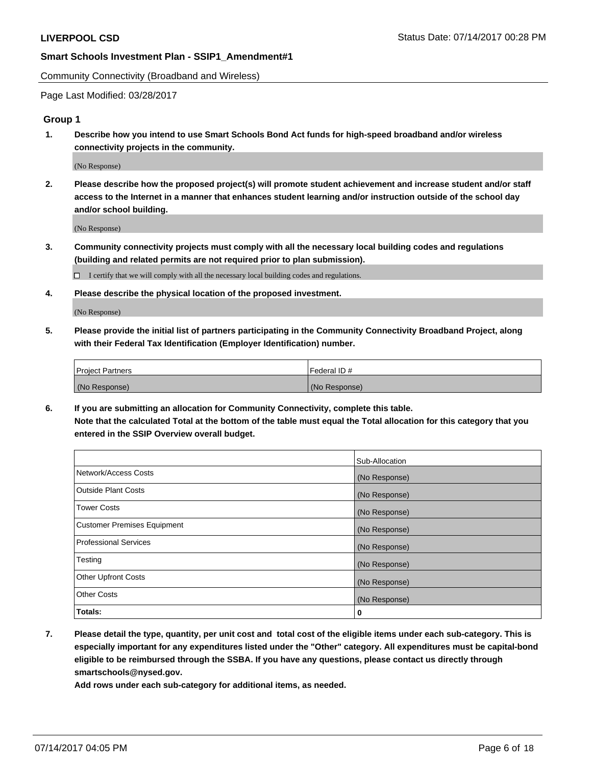Community Connectivity (Broadband and Wireless)

Page Last Modified: 03/28/2017

### **Group 1**

**1. Describe how you intend to use Smart Schools Bond Act funds for high-speed broadband and/or wireless connectivity projects in the community.**

(No Response)

**2. Please describe how the proposed project(s) will promote student achievement and increase student and/or staff access to the Internet in a manner that enhances student learning and/or instruction outside of the school day and/or school building.**

(No Response)

**3. Community connectivity projects must comply with all the necessary local building codes and regulations (building and related permits are not required prior to plan submission).**

 $\Box$  I certify that we will comply with all the necessary local building codes and regulations.

**4. Please describe the physical location of the proposed investment.**

(No Response)

**5. Please provide the initial list of partners participating in the Community Connectivity Broadband Project, along with their Federal Tax Identification (Employer Identification) number.**

| <b>Project Partners</b> | Federal ID#     |
|-------------------------|-----------------|
| (No Response)           | l (No Response) |

**6. If you are submitting an allocation for Community Connectivity, complete this table. Note that the calculated Total at the bottom of the table must equal the Total allocation for this category that you entered in the SSIP Overview overall budget.**

|                                    | Sub-Allocation |
|------------------------------------|----------------|
| Network/Access Costs               | (No Response)  |
| Outside Plant Costs                | (No Response)  |
| <b>Tower Costs</b>                 | (No Response)  |
| <b>Customer Premises Equipment</b> | (No Response)  |
| <b>Professional Services</b>       | (No Response)  |
| Testing                            | (No Response)  |
| <b>Other Upfront Costs</b>         | (No Response)  |
| <b>Other Costs</b>                 | (No Response)  |
| Totals:                            | 0              |

**7. Please detail the type, quantity, per unit cost and total cost of the eligible items under each sub-category. This is especially important for any expenditures listed under the "Other" category. All expenditures must be capital-bond eligible to be reimbursed through the SSBA. If you have any questions, please contact us directly through smartschools@nysed.gov.**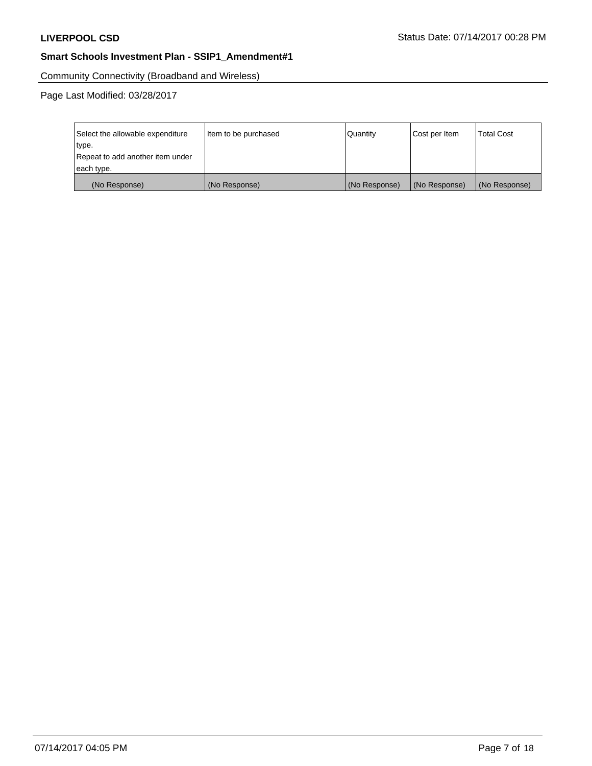Community Connectivity (Broadband and Wireless)

| Select the allowable expenditure | Item to be purchased | Quantity      | Cost per Item | <b>Total Cost</b> |
|----------------------------------|----------------------|---------------|---------------|-------------------|
| type.                            |                      |               |               |                   |
| Repeat to add another item under |                      |               |               |                   |
| each type.                       |                      |               |               |                   |
| (No Response)                    | (No Response)        | (No Response) | (No Response) | (No Response)     |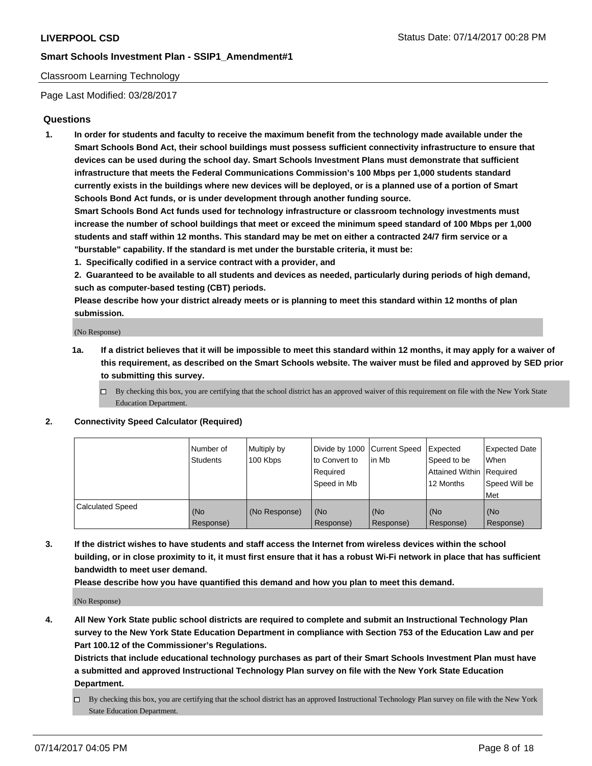## Classroom Learning Technology

Page Last Modified: 03/28/2017

## **Questions**

**1. In order for students and faculty to receive the maximum benefit from the technology made available under the Smart Schools Bond Act, their school buildings must possess sufficient connectivity infrastructure to ensure that devices can be used during the school day. Smart Schools Investment Plans must demonstrate that sufficient infrastructure that meets the Federal Communications Commission's 100 Mbps per 1,000 students standard currently exists in the buildings where new devices will be deployed, or is a planned use of a portion of Smart Schools Bond Act funds, or is under development through another funding source.**

**Smart Schools Bond Act funds used for technology infrastructure or classroom technology investments must increase the number of school buildings that meet or exceed the minimum speed standard of 100 Mbps per 1,000 students and staff within 12 months. This standard may be met on either a contracted 24/7 firm service or a "burstable" capability. If the standard is met under the burstable criteria, it must be:**

- **1. Specifically codified in a service contract with a provider, and**
- **2. Guaranteed to be available to all students and devices as needed, particularly during periods of high demand, such as computer-based testing (CBT) periods.**

**Please describe how your district already meets or is planning to meet this standard within 12 months of plan submission.**

(No Response)

- **1a. If a district believes that it will be impossible to meet this standard within 12 months, it may apply for a waiver of this requirement, as described on the Smart Schools website. The waiver must be filed and approved by SED prior to submitting this survey.**
	- $\Box$  By checking this box, you are certifying that the school district has an approved waiver of this requirement on file with the New York State Education Department.

#### **2. Connectivity Speed Calculator (Required)**

|                         | l Number of<br>Students | Multiply by<br>100 Kbps | Divide by 1000   Current Speed<br>to Convert to<br>Required<br>Speed in Mb | lin Mb           | Expected<br>Speed to be<br>Attained Within Required<br>12 Months | <b>Expected Date</b><br>When<br>Speed Will be<br>Met |
|-------------------------|-------------------------|-------------------------|----------------------------------------------------------------------------|------------------|------------------------------------------------------------------|------------------------------------------------------|
| <b>Calculated Speed</b> | (No<br>Response)        | (No Response)           | (No<br>Response)                                                           | (No<br>Response) | (No<br>Response)                                                 | (No<br>Response)                                     |

**3. If the district wishes to have students and staff access the Internet from wireless devices within the school building, or in close proximity to it, it must first ensure that it has a robust Wi-Fi network in place that has sufficient bandwidth to meet user demand.**

**Please describe how you have quantified this demand and how you plan to meet this demand.**

(No Response)

**4. All New York State public school districts are required to complete and submit an Instructional Technology Plan survey to the New York State Education Department in compliance with Section 753 of the Education Law and per Part 100.12 of the Commissioner's Regulations.**

**Districts that include educational technology purchases as part of their Smart Schools Investment Plan must have a submitted and approved Instructional Technology Plan survey on file with the New York State Education Department.**

 $\Box$  By checking this box, you are certifying that the school district has an approved Instructional Technology Plan survey on file with the New York State Education Department.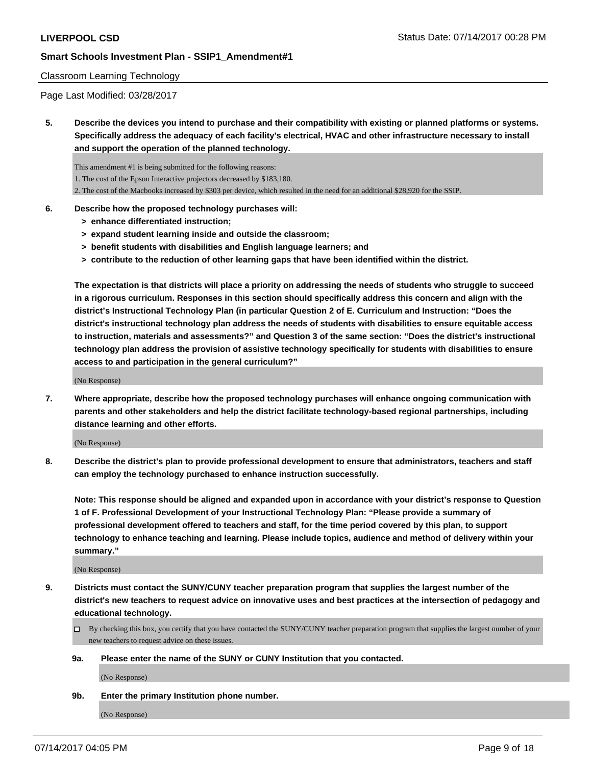#### Classroom Learning Technology

Page Last Modified: 03/28/2017

**5. Describe the devices you intend to purchase and their compatibility with existing or planned platforms or systems. Specifically address the adequacy of each facility's electrical, HVAC and other infrastructure necessary to install and support the operation of the planned technology.**

This amendment #1 is being submitted for the following reasons:

1. The cost of the Epson Interactive projectors decreased by \$183,180.

2. The cost of the Macbooks increased by \$303 per device, which resulted in the need for an additional \$28,920 for the SSIP.

#### **6. Describe how the proposed technology purchases will:**

- **> enhance differentiated instruction;**
- **> expand student learning inside and outside the classroom;**
- **> benefit students with disabilities and English language learners; and**
- **> contribute to the reduction of other learning gaps that have been identified within the district.**

**The expectation is that districts will place a priority on addressing the needs of students who struggle to succeed in a rigorous curriculum. Responses in this section should specifically address this concern and align with the district's Instructional Technology Plan (in particular Question 2 of E. Curriculum and Instruction: "Does the district's instructional technology plan address the needs of students with disabilities to ensure equitable access to instruction, materials and assessments?" and Question 3 of the same section: "Does the district's instructional technology plan address the provision of assistive technology specifically for students with disabilities to ensure access to and participation in the general curriculum?"**

(No Response)

**7. Where appropriate, describe how the proposed technology purchases will enhance ongoing communication with parents and other stakeholders and help the district facilitate technology-based regional partnerships, including distance learning and other efforts.**

(No Response)

**8. Describe the district's plan to provide professional development to ensure that administrators, teachers and staff can employ the technology purchased to enhance instruction successfully.**

**Note: This response should be aligned and expanded upon in accordance with your district's response to Question 1 of F. Professional Development of your Instructional Technology Plan: "Please provide a summary of professional development offered to teachers and staff, for the time period covered by this plan, to support technology to enhance teaching and learning. Please include topics, audience and method of delivery within your summary."**

(No Response)

**9. Districts must contact the SUNY/CUNY teacher preparation program that supplies the largest number of the district's new teachers to request advice on innovative uses and best practices at the intersection of pedagogy and educational technology.**

□ By checking this box, you certify that you have contacted the SUNY/CUNY teacher preparation program that supplies the largest number of your new teachers to request advice on these issues.

**9a. Please enter the name of the SUNY or CUNY Institution that you contacted.**

(No Response)

**9b. Enter the primary Institution phone number.**

(No Response)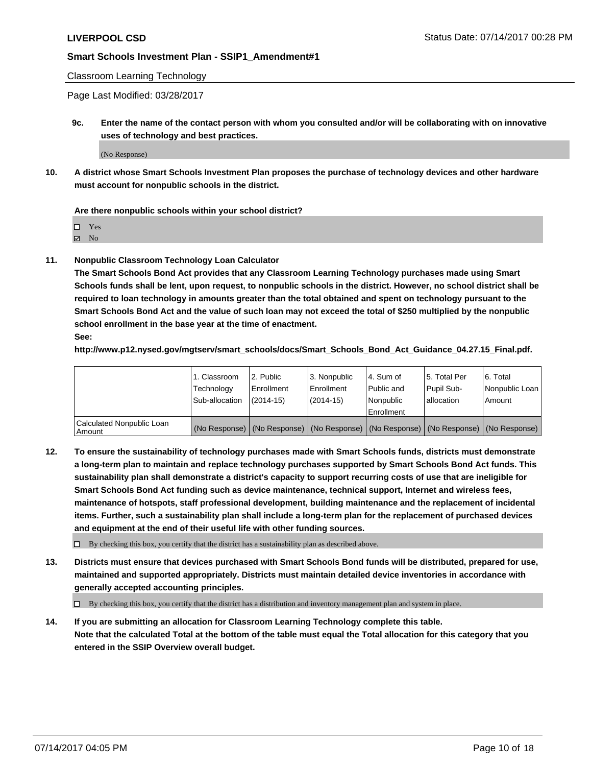Classroom Learning Technology

Page Last Modified: 03/28/2017

**9c. Enter the name of the contact person with whom you consulted and/or will be collaborating with on innovative uses of technology and best practices.**

(No Response)

**10. A district whose Smart Schools Investment Plan proposes the purchase of technology devices and other hardware must account for nonpublic schools in the district.**

**Are there nonpublic schools within your school district?**

Yes

 $\boxtimes$  No

**11. Nonpublic Classroom Technology Loan Calculator**

**The Smart Schools Bond Act provides that any Classroom Learning Technology purchases made using Smart Schools funds shall be lent, upon request, to nonpublic schools in the district. However, no school district shall be required to loan technology in amounts greater than the total obtained and spent on technology pursuant to the Smart Schools Bond Act and the value of such loan may not exceed the total of \$250 multiplied by the nonpublic school enrollment in the base year at the time of enactment.**

**See:**

**http://www.p12.nysed.gov/mgtserv/smart\_schools/docs/Smart\_Schools\_Bond\_Act\_Guidance\_04.27.15\_Final.pdf.**

|                                       | 1. Classroom   | 2. Public     | 3. Nonpublic | 14. Sum of  | 15. Total Per | l 6. Total                                                                                    |
|---------------------------------------|----------------|---------------|--------------|-------------|---------------|-----------------------------------------------------------------------------------------------|
|                                       | Technology     | Enrollment    | Enrollment   | Public and  | Pupil Sub-    | Nonpublic Loan                                                                                |
|                                       | Sub-allocation | $(2014 - 15)$ | (2014-15)    | l Nonpublic | allocation    | Amount                                                                                        |
|                                       |                |               |              | Enrollment  |               |                                                                                               |
| Calculated Nonpublic Loan<br>  Amount |                |               |              |             |               | (No Response)   (No Response)   (No Response)   (No Response)   (No Response)   (No Response) |

**12. To ensure the sustainability of technology purchases made with Smart Schools funds, districts must demonstrate a long-term plan to maintain and replace technology purchases supported by Smart Schools Bond Act funds. This sustainability plan shall demonstrate a district's capacity to support recurring costs of use that are ineligible for Smart Schools Bond Act funding such as device maintenance, technical support, Internet and wireless fees, maintenance of hotspots, staff professional development, building maintenance and the replacement of incidental items. Further, such a sustainability plan shall include a long-term plan for the replacement of purchased devices and equipment at the end of their useful life with other funding sources.**

 $\Box$  By checking this box, you certify that the district has a sustainability plan as described above.

**13. Districts must ensure that devices purchased with Smart Schools Bond funds will be distributed, prepared for use, maintained and supported appropriately. Districts must maintain detailed device inventories in accordance with generally accepted accounting principles.**

By checking this box, you certify that the district has a distribution and inventory management plan and system in place.

**14. If you are submitting an allocation for Classroom Learning Technology complete this table. Note that the calculated Total at the bottom of the table must equal the Total allocation for this category that you entered in the SSIP Overview overall budget.**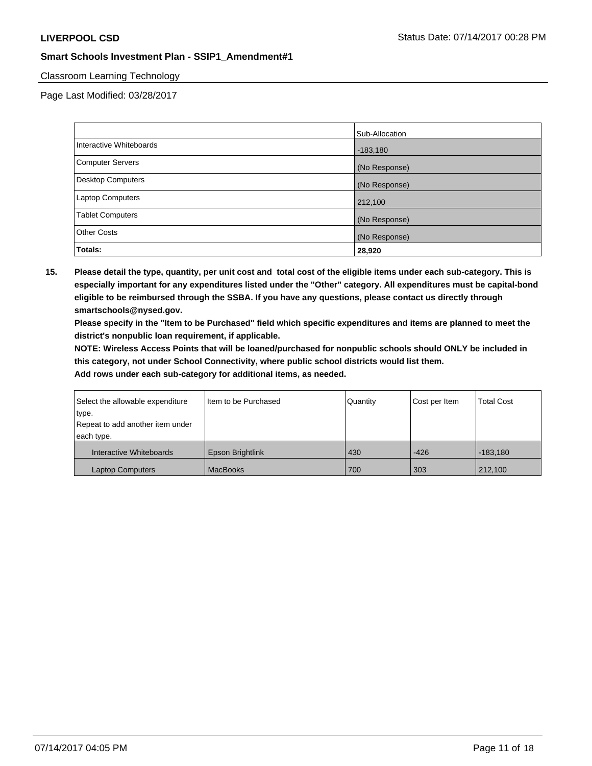## Classroom Learning Technology

Page Last Modified: 03/28/2017

|                         | Sub-Allocation |
|-------------------------|----------------|
| Interactive Whiteboards | $-183,180$     |
| Computer Servers        | (No Response)  |
| Desktop Computers       | (No Response)  |
| <b>Laptop Computers</b> | 212,100        |
| <b>Tablet Computers</b> | (No Response)  |
| <b>Other Costs</b>      | (No Response)  |
| Totals:                 | 28,920         |

**15. Please detail the type, quantity, per unit cost and total cost of the eligible items under each sub-category. This is especially important for any expenditures listed under the "Other" category. All expenditures must be capital-bond eligible to be reimbursed through the SSBA. If you have any questions, please contact us directly through smartschools@nysed.gov.**

**Please specify in the "Item to be Purchased" field which specific expenditures and items are planned to meet the district's nonpublic loan requirement, if applicable.**

**NOTE: Wireless Access Points that will be loaned/purchased for nonpublic schools should ONLY be included in this category, not under School Connectivity, where public school districts would list them.**

| Select the allowable expenditure | Item to be Purchased | Quantity | Cost per Item | <b>Total Cost</b> |
|----------------------------------|----------------------|----------|---------------|-------------------|
| type.                            |                      |          |               |                   |
| Repeat to add another item under |                      |          |               |                   |
| each type.                       |                      |          |               |                   |
| Interactive Whiteboards          | Epson Brightlink     | 430      | $-426$        | $-183.180$        |
| <b>Laptop Computers</b>          | <b>MacBooks</b>      | 700      | 303           | 212,100           |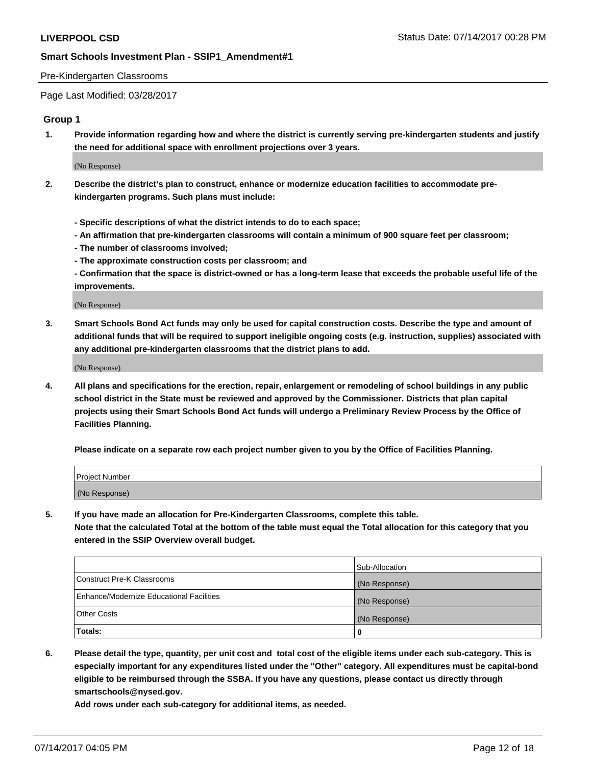#### Pre-Kindergarten Classrooms

Page Last Modified: 03/28/2017

#### **Group 1**

**1. Provide information regarding how and where the district is currently serving pre-kindergarten students and justify the need for additional space with enrollment projections over 3 years.**

(No Response)

- **2. Describe the district's plan to construct, enhance or modernize education facilities to accommodate prekindergarten programs. Such plans must include:**
	- **Specific descriptions of what the district intends to do to each space;**
	- **An affirmation that pre-kindergarten classrooms will contain a minimum of 900 square feet per classroom;**
	- **The number of classrooms involved;**
	- **The approximate construction costs per classroom; and**
	- **Confirmation that the space is district-owned or has a long-term lease that exceeds the probable useful life of the improvements.**

(No Response)

**3. Smart Schools Bond Act funds may only be used for capital construction costs. Describe the type and amount of additional funds that will be required to support ineligible ongoing costs (e.g. instruction, supplies) associated with any additional pre-kindergarten classrooms that the district plans to add.**

(No Response)

**4. All plans and specifications for the erection, repair, enlargement or remodeling of school buildings in any public school district in the State must be reviewed and approved by the Commissioner. Districts that plan capital projects using their Smart Schools Bond Act funds will undergo a Preliminary Review Process by the Office of Facilities Planning.**

**Please indicate on a separate row each project number given to you by the Office of Facilities Planning.**

| Project Number |  |
|----------------|--|
| (No Response)  |  |

**5. If you have made an allocation for Pre-Kindergarten Classrooms, complete this table. Note that the calculated Total at the bottom of the table must equal the Total allocation for this category that you entered in the SSIP Overview overall budget.**

| Totals:                                  | 0              |
|------------------------------------------|----------------|
| Other Costs                              | (No Response)  |
| Enhance/Modernize Educational Facilities | (No Response)  |
| Construct Pre-K Classrooms               | (No Response)  |
|                                          | Sub-Allocation |

**6. Please detail the type, quantity, per unit cost and total cost of the eligible items under each sub-category. This is especially important for any expenditures listed under the "Other" category. All expenditures must be capital-bond eligible to be reimbursed through the SSBA. If you have any questions, please contact us directly through smartschools@nysed.gov.**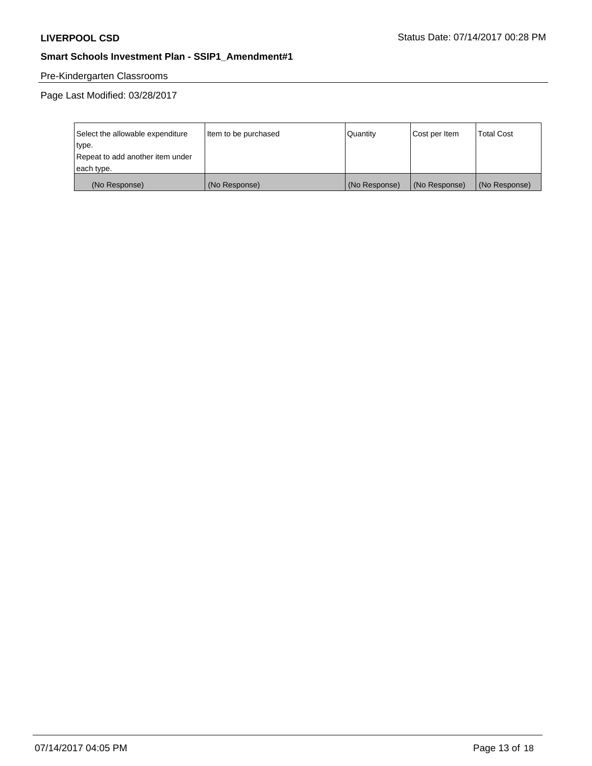# Pre-Kindergarten Classrooms

| Select the allowable expenditure | Item to be purchased | Quantity      | Cost per Item | <b>Total Cost</b> |
|----------------------------------|----------------------|---------------|---------------|-------------------|
| type.                            |                      |               |               |                   |
| Repeat to add another item under |                      |               |               |                   |
| each type.                       |                      |               |               |                   |
| (No Response)                    | (No Response)        | (No Response) | (No Response) | (No Response)     |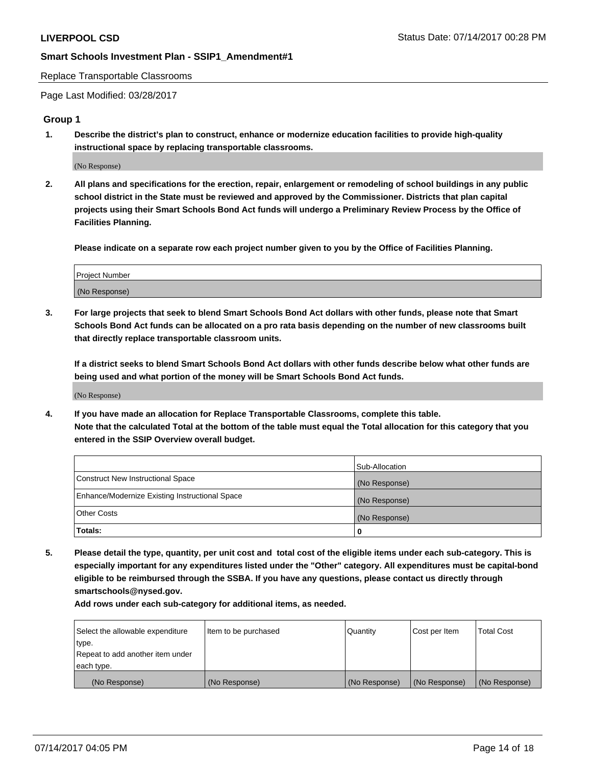Replace Transportable Classrooms

Page Last Modified: 03/28/2017

### **Group 1**

**1. Describe the district's plan to construct, enhance or modernize education facilities to provide high-quality instructional space by replacing transportable classrooms.**

(No Response)

**2. All plans and specifications for the erection, repair, enlargement or remodeling of school buildings in any public school district in the State must be reviewed and approved by the Commissioner. Districts that plan capital projects using their Smart Schools Bond Act funds will undergo a Preliminary Review Process by the Office of Facilities Planning.**

**Please indicate on a separate row each project number given to you by the Office of Facilities Planning.**

| Project Number |  |
|----------------|--|
| (No Response)  |  |

**3. For large projects that seek to blend Smart Schools Bond Act dollars with other funds, please note that Smart Schools Bond Act funds can be allocated on a pro rata basis depending on the number of new classrooms built that directly replace transportable classroom units.**

**If a district seeks to blend Smart Schools Bond Act dollars with other funds describe below what other funds are being used and what portion of the money will be Smart Schools Bond Act funds.**

(No Response)

**4. If you have made an allocation for Replace Transportable Classrooms, complete this table. Note that the calculated Total at the bottom of the table must equal the Total allocation for this category that you entered in the SSIP Overview overall budget.**

|                                                | Sub-Allocation |
|------------------------------------------------|----------------|
| Construct New Instructional Space              | (No Response)  |
| Enhance/Modernize Existing Instructional Space | (No Response)  |
| Other Costs                                    | (No Response)  |
| Totals:                                        | $\Omega$       |

**5. Please detail the type, quantity, per unit cost and total cost of the eligible items under each sub-category. This is especially important for any expenditures listed under the "Other" category. All expenditures must be capital-bond eligible to be reimbursed through the SSBA. If you have any questions, please contact us directly through smartschools@nysed.gov.**

| Select the allowable expenditure | Item to be purchased | Quantity      | Cost per Item | <b>Total Cost</b> |
|----------------------------------|----------------------|---------------|---------------|-------------------|
| type.                            |                      |               |               |                   |
| Repeat to add another item under |                      |               |               |                   |
| each type.                       |                      |               |               |                   |
| (No Response)                    | (No Response)        | (No Response) | (No Response) | (No Response)     |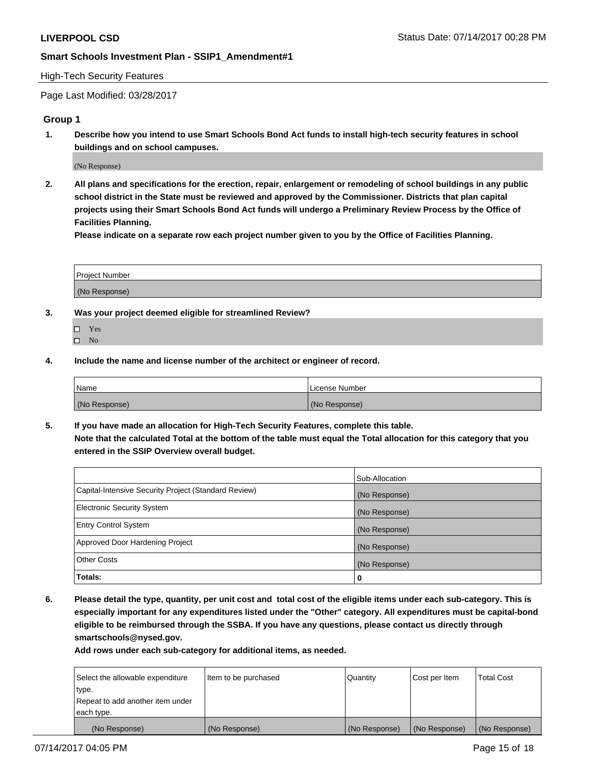### High-Tech Security Features

Page Last Modified: 03/28/2017

## **Group 1**

**1. Describe how you intend to use Smart Schools Bond Act funds to install high-tech security features in school buildings and on school campuses.**

(No Response)

**2. All plans and specifications for the erection, repair, enlargement or remodeling of school buildings in any public school district in the State must be reviewed and approved by the Commissioner. Districts that plan capital projects using their Smart Schools Bond Act funds will undergo a Preliminary Review Process by the Office of Facilities Planning.** 

**Please indicate on a separate row each project number given to you by the Office of Facilities Planning.**

| Project Number |  |
|----------------|--|
|                |  |
| (No Response)  |  |

- **3. Was your project deemed eligible for streamlined Review?**
	- Yes  $\hfill \square$  No
- **4. Include the name and license number of the architect or engineer of record.**

| Name          | l License Number |
|---------------|------------------|
| (No Response) | (No Response)    |

**5. If you have made an allocation for High-Tech Security Features, complete this table. Note that the calculated Total at the bottom of the table must equal the Total allocation for this category that you entered in the SSIP Overview overall budget.**

|                                                      | Sub-Allocation |
|------------------------------------------------------|----------------|
| Capital-Intensive Security Project (Standard Review) | (No Response)  |
| Electronic Security System                           | (No Response)  |
| <b>Entry Control System</b>                          | (No Response)  |
| Approved Door Hardening Project                      | (No Response)  |
| <b>Other Costs</b>                                   | (No Response)  |
| Totals:                                              | 0              |

**6. Please detail the type, quantity, per unit cost and total cost of the eligible items under each sub-category. This is especially important for any expenditures listed under the "Other" category. All expenditures must be capital-bond eligible to be reimbursed through the SSBA. If you have any questions, please contact us directly through smartschools@nysed.gov.**

| (No Response)                    | (No Response)        | (No Response) | (No Response) | (No Response)     |
|----------------------------------|----------------------|---------------|---------------|-------------------|
| each type.                       |                      |               |               |                   |
| Repeat to add another item under |                      |               |               |                   |
| type.                            |                      |               |               |                   |
| Select the allowable expenditure | Item to be purchased | Quantity      | Cost per Item | <b>Total Cost</b> |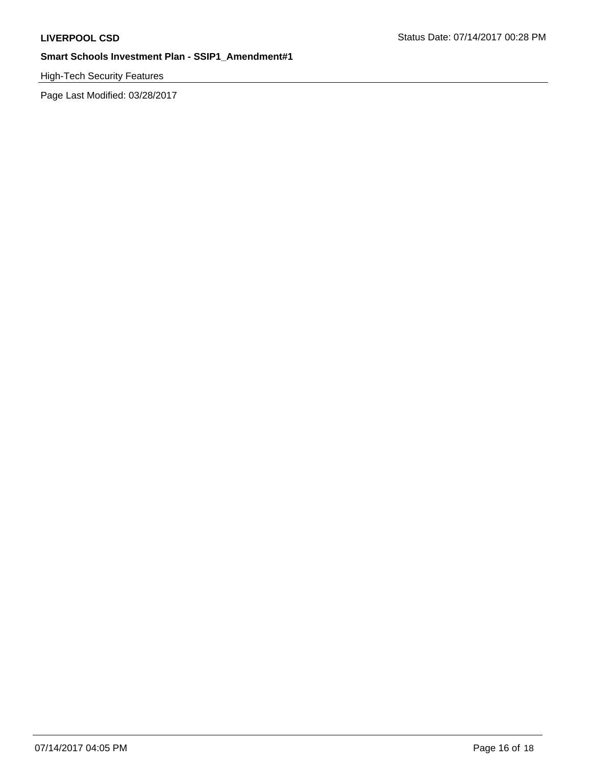High-Tech Security Features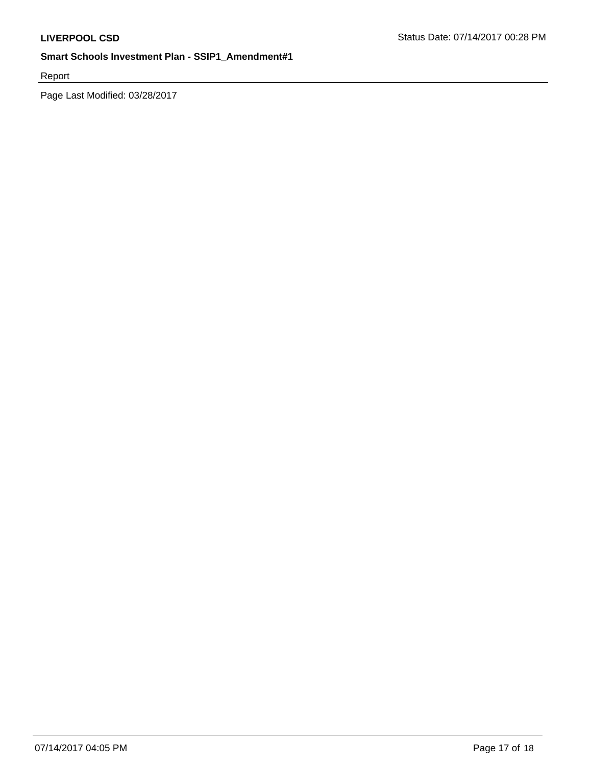Report